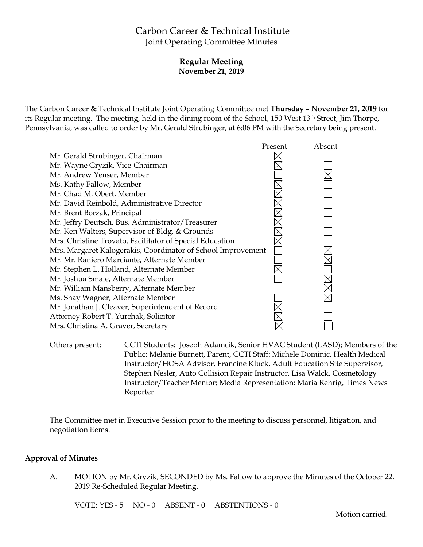# Carbon Career & Technical Institute Joint Operating Committee Minutes

## **Regular Meeting November 21, 2019**

The Carbon Career & Technical Institute Joint Operating Committee met **Thursday – November 21, 2019** for its Regular meeting. The meeting, held in the dining room of the School, 150 West 13th Street, Jim Thorpe, Pennsylvania, was called to order by Mr. Gerald Strubinger, at 6:06 PM with the Secretary being present.



Others present: CCTI Students: Joseph Adamcik, Senior HVAC Student (LASD); Members of the Public: Melanie Burnett, Parent, CCTI Staff: Michele Dominic, Health Medical Instructor/HOSA Advisor, Francine Kluck, Adult Education Site Supervisor, Stephen Nesler, Auto Collision Repair Instructor, Lisa Walck, Cosmetology Instructor/Teacher Mentor; Media Representation: Maria Rehrig, Times News Reporter

The Committee met in Executive Session prior to the meeting to discuss personnel, litigation, and negotiation items.

#### **Approval of Minutes**

A. MOTION by Mr. Gryzik, SECONDED by Ms. Fallow to approve the Minutes of the October 22, 2019 Re-Scheduled Regular Meeting.

VOTE: YES - 5 NO - 0 ABSENT - 0 ABSTENTIONS - 0

Motion carried.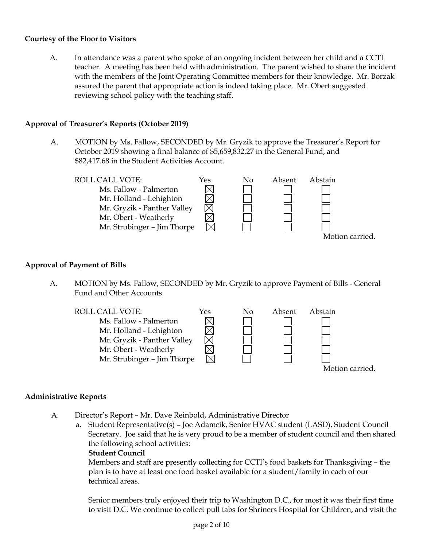#### **Courtesy of the Floor to Visitors**

A. In attendance was a parent who spoke of an ongoing incident between her child and a CCTI teacher. A meeting has been held with administration. The parent wished to share the incident with the members of the Joint Operating Committee members for their knowledge. Mr. Borzak assured the parent that appropriate action is indeed taking place. Mr. Obert suggested reviewing school policy with the teaching staff.

## **Approval of Treasurer's Reports (October 2019)**

A. MOTION by Ms. Fallow, SECONDED by Mr. Gryzik to approve the Treasurer's Report for October 2019 showing a final balance of \$5,659,832.27 in the General Fund, and \$82,417.68 in the Student Activities Account.



## **Approval of Payment of Bills**

A. MOTION by Ms. Fallow, SECONDED by Mr. Gryzik to approve Payment of Bills - General Fund and Other Accounts.



## **Administrative Reports**

- A. Director's Report Mr. Dave Reinbold, Administrative Director
	- a. Student Representative(s) Joe Adamcik, Senior HVAC student (LASD), Student Council Secretary. Joe said that he is very proud to be a member of student council and then shared the following school activities:

## **Student Council**

Members and staff are presently collecting for CCTI's food baskets for Thanksgiving – the plan is to have at least one food basket available for a student/family in each of our technical areas.

Senior members truly enjoyed their trip to Washington D.C., for most it was their first time to visit D.C. We continue to collect pull tabs for Shriners Hospital for Children, and visit the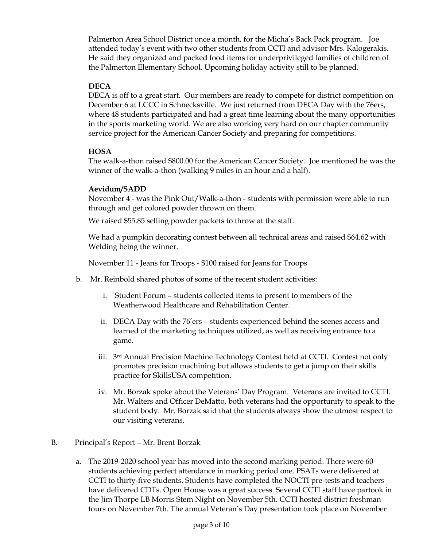Palmerton Area School District once a month, for the Micha's Back Pack program. Joe attended today's event with two other students from CCTI and advisor Mrs. Kalogerakis. He said they organized and packed food items for underprivileged families of children of the Palmerton Elementary School. Upcoming holiday activity still to be planned.

#### **DECA**

DECA is off to a great start. Our members are ready to compete for district competition on December 6 at LCCC in Schnecksville. We just returned from DECA Day with the 76ers, where 48 students participated and had a great time learning about the many opportunities in the sports marketing world. We are also working very hard on our chapter community service project for the American Cancer Society and preparing for competitions.

## **HOSA**

The walk-a-thon raised \$800.00 for the American Cancer Society. Joe mentioned he was the winner of the walk-a-thon (walking 9 miles in an hour and a half).

#### **Aevidum/SADD**

November 4 - was the Pink Out/Walk-a-thon - students with permission were able to run through and get colored powder thrown on them.

We raised \$55.85 selling powder packets to throw at the staff.

We had a pumpkin decorating contest between all technical areas and raised \$64.62 with Welding being the winner.

November 11 - Jeans for Troops - \$100 raised for Jeans for Troops

- b. Mr. Reinbold shared photos of some of the recent student activities:
	- i. Student Forum students collected items to present to members of the Weatherwood Healthcare and Rehabilitation Center.
	- ii. DECA Day with the 76'ers students experienced behind the scenes access and learned of the marketing techniques utilized, as well as receiving entrance to a game.
	- iii. 3rd Annual Precision Machine Technology Contest held at CCTI. Contest not only promotes precision machining but allows students to get a jump on their skills practice for SkillsUSA competition.
	- iv. Mr. Borzak spoke about the Veterans' Day Program. Veterans are invited to CCTI. Mr. Walters and Officer DeMatto, both veterans had the opportunity to speak to the student body. Mr. Borzak said that the students always show the utmost respect to our visiting veterans.
- B. Principal's Report Mr. Brent Borzak
	- a. The 2019-2020 school year has moved into the second marking period. There were 60 students achieving perfect attendance in marking period one. PSATs were delivered at CCTI to thirty-five students. Students have completed the NOCTI pre-tests and teachers have delivered CDTs. Open House was a great success. Several CCTI staff have partook in the Jim Thorpe LB Morris Stem Night on November 5th. CCTI hosted district freshman tours on November 7th. The annual Veteran's Day presentation took place on November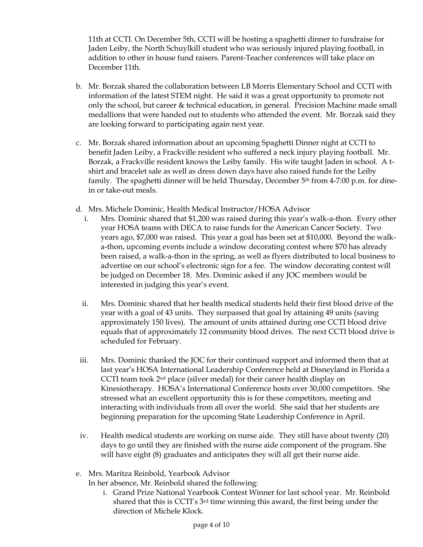11th at CCTI. On December 5th, CCTI will be hosting a spaghetti dinner to fundraise for Jaden Leiby, the North Schuylkill student who was seriously injured playing football, in addition to other in house fund raisers. Parent-Teacher conferences will take place on December 11th.

- b. Mr. Borzak shared the collaboration between LB Morris Elementary School and CCTI with information of the latest STEM night. He said it was a great opportunity to promote not only the school, but career & technical education, in general. Precision Machine made small medallions that were handed out to students who attended the event. Mr. Borzak said they are looking forward to participating again next year.
- c. Mr. Borzak shared information about an upcoming Spaghetti Dinner night at CCTI to benefit Jaden Leiby, a Frackville resident who suffered a neck injury playing football. Mr. Borzak, a Frackville resident knows the Leiby family. His wife taught Jaden in school. A tshirt and bracelet sale as well as dress down days have also raised funds for the Leiby family. The spaghetti dinner will be held Thursday, December  $5<sup>th</sup>$  from 4-7:00 p.m. for dinein or take-out meals.
- d. Mrs. Michele Dominic, Health Medical Instructor/HOSA Advisor
	- i. Mrs. Dominic shared that \$1,200 was raised during this year's walk-a-thon. Every other year HOSA teams with DECA to raise funds for the American Cancer Society. Two years ago, \$7,000 was raised. This year a goal has been set at \$10,000. Beyond the walka-thon, upcoming events include a window decorating contest where \$70 has already been raised, a walk-a-thon in the spring, as well as flyers distributed to local business to advertise on our school's electronic sign for a fee. The window decorating contest will be judged on December 18. Mrs. Dominic asked if any JOC members would be interested in judging this year's event.
	- ii. Mrs. Dominic shared that her health medical students held their first blood drive of the year with a goal of 43 units. They surpassed that goal by attaining 49 units (saving approximately 150 lives). The amount of units attained during one CCTI blood drive equals that of approximately 12 community blood drives. The next CCTI blood drive is scheduled for February.
- iii. Mrs. Dominic thanked the JOC for their continued support and informed them that at last year's HOSA International Leadership Conference held at Disneyland in Florida a CCTI team took  $2<sup>nd</sup>$  place (silver medal) for their career health display on Kinesiotherapy. HOSA's International Conference hosts over 30,000 competitors. She stressed what an excellent opportunity this is for these competitors, meeting and interacting with individuals from all over the world. She said that her students are beginning preparation for the upcoming State Leadership Conference in April.
- iv. Health medical students are working on nurse aide. They still have about twenty (20) days to go until they are finished with the nurse aide component of the program. She will have eight (8) graduates and anticipates they will all get their nurse aide.
- e. Mrs. Maritza Reinbold, Yearbook Advisor

In her absence, Mr. Reinbold shared the following:

i. Grand Prize National Yearbook Contest Winner for last school year. Mr. Reinbold shared that this is CCTI's 3rd time winning this award, the first being under the direction of Michele Klock.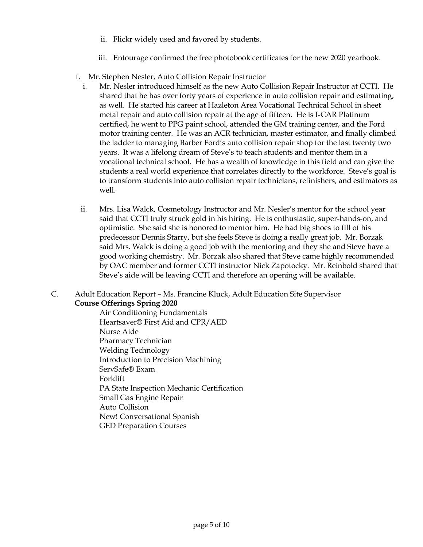- ii. Flickr widely used and favored by students.
- iii. Entourage confirmed the free photobook certificates for the new 2020 yearbook.
- f. Mr. Stephen Nesler, Auto Collision Repair Instructor
	- i. Mr. Nesler introduced himself as the new Auto Collision Repair Instructor at CCTI. He shared that he has over forty years of experience in auto collision repair and estimating, as well. He started his career at Hazleton Area Vocational Technical School in sheet metal repair and auto collision repair at the age of fifteen. He is I-CAR Platinum certified, he went to PPG paint school, attended the GM training center, and the Ford motor training center. He was an ACR technician, master estimator, and finally climbed the ladder to managing Barber Ford's auto collision repair shop for the last twenty two years. It was a lifelong dream of Steve's to teach students and mentor them in a vocational technical school. He has a wealth of knowledge in this field and can give the students a real world experience that correlates directly to the workforce. Steve's goal is to transform students into auto collision repair technicians, refinishers, and estimators as well.
	- ii. Mrs. Lisa Walck, Cosmetology Instructor and Mr. Nesler's mentor for the school year said that CCTI truly struck gold in his hiring. He is enthusiastic, super-hands-on, and optimistic. She said she is honored to mentor him. He had big shoes to fill of his predecessor Dennis Starry, but she feels Steve is doing a really great job. Mr. Borzak said Mrs. Walck is doing a good job with the mentoring and they she and Steve have a good working chemistry. Mr. Borzak also shared that Steve came highly recommended by OAC member and former CCTI instructor Nick Zapotocky. Mr. Reinbold shared that Steve's aide will be leaving CCTI and therefore an opening will be available.
- C. Adult Education Report Ms. Francine Kluck, Adult Education Site Supervisor **Course Offerings Spring 2020**
	- Air Conditioning Fundamentals Heartsaver® First Aid and CPR/AED Nurse Aide Pharmacy Technician Welding Technology Introduction to Precision Machining ServSafe® Exam Forklift PA State Inspection Mechanic Certification Small Gas Engine Repair Auto Collision New! Conversational Spanish GED Preparation Courses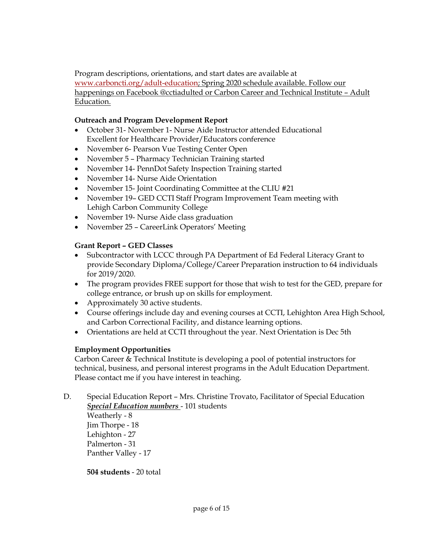Program descriptions, orientations, and start dates are available at [www.carboncti.org/adult-education;](http://www.carboncti.org/adult-education) Spring 2020 schedule available. Follow our happenings on Facebook @cctiadulted or Carbon Career and Technical Institute – Adult Education.

## **Outreach and Program Development Report**

- October 31- November 1- Nurse Aide Instructor attended Educational Excellent for Healthcare Provider/Educators conference
- November 6- Pearson Vue Testing Center Open
- November 5 Pharmacy Technician Training started
- November 14- PennDot Safety Inspection Training started
- November 14- Nurse Aide Orientation
- November 15- Joint Coordinating Committee at the CLIU #21
- November 19– GED CCTI Staff Program Improvement Team meeting with Lehigh Carbon Community College
- November 19- Nurse Aide class graduation
- November 25 CareerLink Operators' Meeting

## **Grant Report – GED Classes**

- Subcontractor with LCCC through PA Department of Ed Federal Literacy Grant to provide Secondary Diploma/College/Career Preparation instruction to 64 individuals for 2019/2020.
- The program provides FREE support for those that wish to test for the GED, prepare for college entrance, or brush up on skills for employment.
- Approximately 30 active students.
- Course offerings include day and evening courses at CCTI, Lehighton Area High School, and Carbon Correctional Facility, and distance learning options.
- Orientations are held at CCTI throughout the year. Next Orientation is Dec 5th

## **Employment Opportunities**

Carbon Career & Technical Institute is developing a pool of potential instructors for technical, business, and personal interest programs in the Adult Education Department. Please contact me if you have interest in teaching.

D. Special Education Report – Mrs. Christine Trovato, Facilitator of Special Education *Special Education numbers* - 101 students Weatherly - 8

Jim Thorpe - 18 Lehighton - 27 Palmerton - 31 Panther Valley - 17

**504 students** - 20 total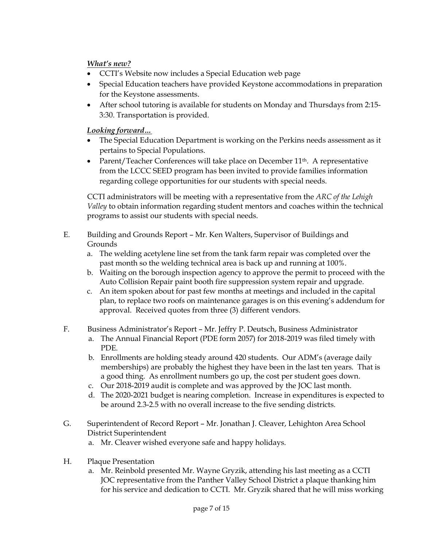## *What's new?*

- CCTI's Website now includes a Special Education web page
- Special Education teachers have provided Keystone accommodations in preparation for the Keystone assessments.
- After school tutoring is available for students on Monday and Thursdays from 2:15- 3:30. Transportation is provided.

## *Looking forward…*

- The Special Education Department is working on the Perkins needs assessment as it pertains to Special Populations.
- Parent/Teacher Conferences will take place on December 11<sup>th</sup>. A representative from the LCCC SEED program has been invited to provide families information regarding college opportunities for our students with special needs.

CCTI administrators will be meeting with a representative from the *ARC of the Lehigh Valley* to obtain information regarding student mentors and coaches within the technical programs to assist our students with special needs.

- E. Building and Grounds Report Mr. Ken Walters, Supervisor of Buildings and Grounds
	- a. The welding acetylene line set from the tank farm repair was completed over the past month so the welding technical area is back up and running at 100%.
	- b. Waiting on the borough inspection agency to approve the permit to proceed with the Auto Collision Repair paint booth fire suppression system repair and upgrade.
	- c. An item spoken about for past few months at meetings and included in the capital plan, to replace two roofs on maintenance garages is on this evening's addendum for approval. Received quotes from three (3) different vendors.
- F. Business Administrator's Report Mr. Jeffry P. Deutsch, Business Administrator
	- a. The Annual Financial Report (PDE form 2057) for 2018-2019 was filed timely with PDE.
	- b. Enrollments are holding steady around 420 students. Our ADM's (average daily memberships) are probably the highest they have been in the last ten years. That is a good thing. As enrollment numbers go up, the cost per student goes down.
	- c. Our 2018-2019 audit is complete and was approved by the JOC last month.
	- d. The 2020-2021 budget is nearing completion. Increase in expenditures is expected to be around 2.3-2.5 with no overall increase to the five sending districts.
- G. Superintendent of Record Report Mr. Jonathan J. Cleaver, Lehighton Area School District Superintendent
	- a. Mr. Cleaver wished everyone safe and happy holidays.
- H. Plaque Presentation
	- a. Mr. Reinbold presented Mr. Wayne Gryzik, attending his last meeting as a CCTI JOC representative from the Panther Valley School District a plaque thanking him for his service and dedication to CCTI. Mr. Gryzik shared that he will miss working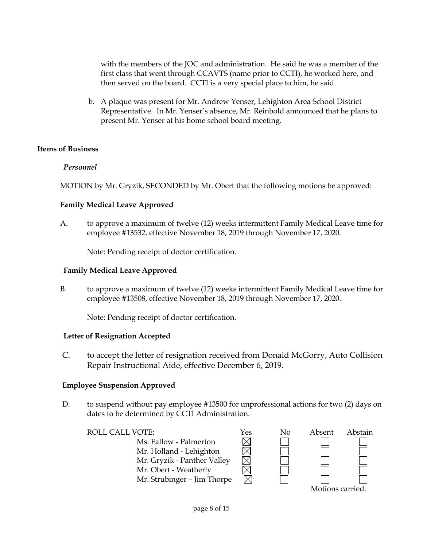with the members of the JOC and administration. He said he was a member of the first class that went through CCAVTS (name prior to CCTI), he worked here, and then served on the board. CCTI is a very special place to him, he said.

b. A plaque was present for Mr. Andrew Yenser, Lehighton Area School District Representative. In Mr. Yenser's absence, Mr. Reinbold announced that he plans to present Mr. Yenser at his home school board meeting.

## **Items of Business**

## *Personnel*

MOTION by Mr. Gryzik, SECONDED by Mr. Obert that the following motions be approved:

#### **Family Medical Leave Approved**

A. to approve a maximum of twelve (12) weeks intermittent Family Medical Leave time for employee #13532, effective November 18, 2019 through November 17, 2020.

Note: Pending receipt of doctor certification.

#### **Family Medical Leave Approved**

B. to approve a maximum of twelve (12) weeks intermittent Family Medical Leave time for employee #13508, effective November 18, 2019 through November 17, 2020.

Note: Pending receipt of doctor certification.

#### **Letter of Resignation Accepted**

C. to accept the letter of resignation received from Donald McGorry, Auto Collision Repair Instructional Aide, effective December 6, 2019.

## **Employee Suspension Approved**

D. to suspend without pay employee #13500 for unprofessional actions for two (2) days on dates to be determined by CCTI Administration.

Ms. Fallow - Palmerton Mr. Holland - Lehighton Mr. Gryzik - Panther Valley Mr. Obert - Weatherly Mr. Strubinger – Jim Thorpe

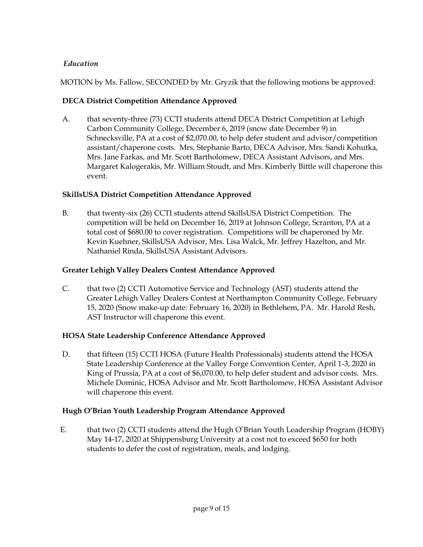## *Education*

MOTION by Ms. Fallow, SECONDED by Mr. Gryzik that the following motions be approved:

## **DECA District Competition Attendance Approved**

A. that seventy-three (73) CCTI students attend DECA District Competition at Lehigh Carbon Community College, December 6, 2019 (snow date December 9) in Schnecksville, PA at a cost of \$2,070.00, to help defer student and advisor/competition assistant/chaperone costs. Mrs. Stephanie Barto, DECA Advisor, Mrs. Sandi Kohutka, Mrs. Jane Farkas, and Mr. Scott Bartholomew, DECA Assistant Advisors, and Mrs. Margaret Kalogerakis, Mr. William Stoudt, and Mrs. Kimberly Bittle will chaperone this event.

## **SkillsUSA District Competition Attendance Approved**

B. that twenty-six (26) CCTI students attend SkillsUSA District Competition. The competition will be held on December 16, 2019 at Johnson College, Scranton, PA at a total cost of \$680.00 to cover registration. Competitions will be chaperoned by Mr. Kevin Kuehner, SkillsUSA Advisor, Mrs. Lisa Walck, Mr. Jeffrey Hazelton, and Mr. Nathaniel Rinda, SkillsUSA Assistant Advisors.

## **Greater Lehigh Valley Dealers Contest Attendance Approved**

C. that two (2) CCTI Automotive Service and Technology (AST) students attend the Greater Lehigh Valley Dealers Contest at Northampton Community College, February 15, 2020 (Snow make-up date: February 16, 2020) in Bethlehem, PA. Mr. Harold Resh, AST Instructor will chaperone this event.

## **HOSA State Leadership Conference Attendance Approved**

D. that fifteen (15) CCTI HOSA (Future Health Professionals) students attend the HOSA State Leadership Conference at the Valley Forge Convention Center, April 1-3, 2020 in King of Prussia, PA at a cost of \$6,070.00, to help defer student and advisor costs. Mrs. Michele Dominic, HOSA Advisor and Mr. Scott Bartholomew, HOSA Assistant Advisor will chaperone this event.

## **Hugh O'Brian Youth Leadership Program Attendance Approved**

E. that two (2) CCTI students attend the Hugh O'Brian Youth Leadership Program (HOBY) May 14-17, 2020 at Shippensburg University at a cost not to exceed \$650 for both students to defer the cost of registration, meals, and lodging.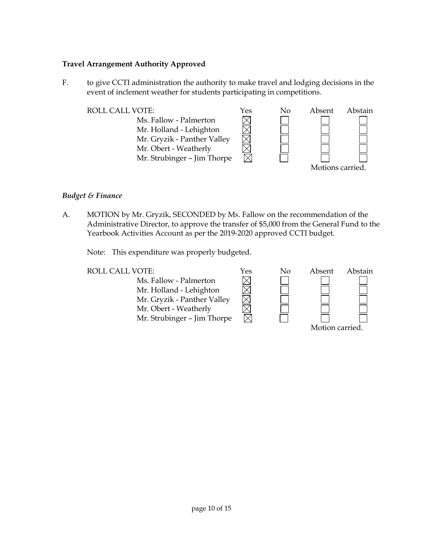#### **Travel Arrangement Authority Approved**

F. to give CCTI administration the authority to make travel and lodging decisions in the event of inclement weather for students participating in competitions.



#### *Budget & Finance*

A. MOTION by Mr. Gryzik, SECONDED by Ms. Fallow on the recommendation of the Administrative Director, to approve the transfer of \$5,000 from the General Fund to the Yearbook Activities Account as per the 2019-2020 approved CCTI budget.

Note: This expenditure was properly budgeted.

| L VUIE.                     | 1 es |
|-----------------------------|------|
| Ms. Fallow - Palmerton      |      |
| Mr. Holland - Lehighton     |      |
| Mr. Gryzik - Panther Valley |      |
| Mr. Obert - Weatherly       |      |
| Mr. Strubinger - Jim Thorpe |      |

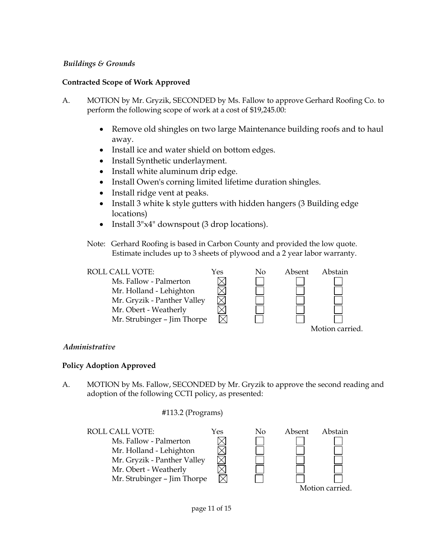#### *Buildings & Grounds*

## **Contracted Scope of Work Approved**

- A. MOTION by Mr. Gryzik, SECONDED by Ms. Fallow to approve Gerhard Roofing Co. to perform the following scope of work at a cost of \$19,245.00:
	- Remove old shingles on two large Maintenance building roofs and to haul away.
	- Install ice and water shield on bottom edges.
	- Install Synthetic underlayment.
	- Install white aluminum drip edge.
	- Install Owen's corning limited lifetime duration shingles.
	- Install ridge vent at peaks.
	- Install 3 white k style gutters with hidden hangers (3 Building edge locations)
	- Install  $3"x4"$  downspout (3 drop locations).
	- Note: Gerhard Roofing is based in Carbon County and provided the low quote. Estimate includes up to 3 sheets of plywood and a 2 year labor warranty.



#### *Administrative*

#### **Policy Adoption Approved**

A. MOTION by Ms. Fallow, SECONDED by Mr. Gryzik to approve the second reading and adoption of the following CCTI policy, as presented:

#### #113.2 (Programs)

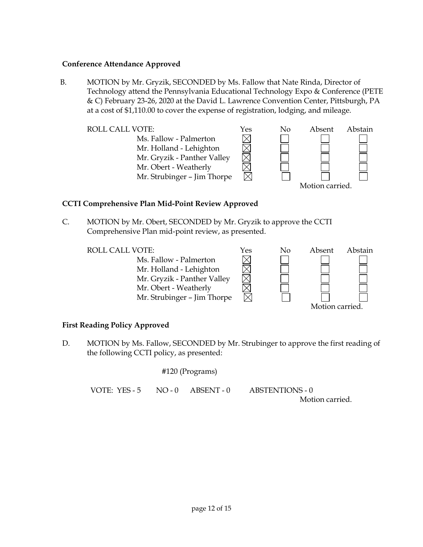#### **Conference Attendance Approved**

B. MOTION by Mr. Gryzik, SECONDED by Ms. Fallow that Nate Rinda, Director of Technology attend the Pennsylvania Educational Technology Expo & Conference (PETE & C) February 23-26, 2020 at the David L. Lawrence Convention Center, Pittsburgh, PA at a cost of \$1,110.00 to cover the expense of registration, lodging, and mileage.

 $\boxtimes$ 

 $\times$ 

Ms. Fallow - Palmerton Mr. Holland - Lehighton Mr. Gryzik - Panther Valley Mr. Obert - Weatherly Mr. Strubinger – Jim Thorpe



## **CCTI Comprehensive Plan Mid-Point Review Approved**

C. MOTION by Mr. Obert, SECONDED by Mr. Gryzik to approve the CCTI Comprehensive Plan mid-point review, as presented.

Ms. Fallow - Palmerton Mr. Holland - Lehighton Mr. Gryzik - Panther Valley Mr. Obert - Weatherly Mr. Strubinger – Jim Thorpe



## **First Reading Policy Approved**

D. MOTION by Ms. Fallow, SECONDED by Mr. Strubinger to approve the first reading of the following CCTI policy, as presented:

#120 (Programs) VOTE: YES - 5 NO - 0 ABSENT - 0 ABSTENTIONS - 0

Motion carried.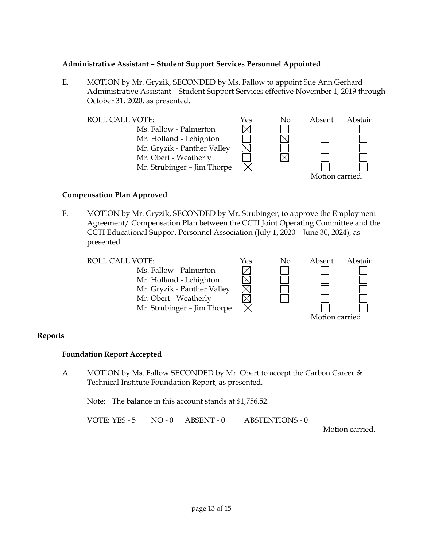#### **Administrative Assistant – Student Support Services Personnel Appointed**

E. MOTION by Mr. Gryzik, SECONDED by Ms. Fallow to appoint Sue Ann Gerhard Administrative Assistant – Student Support Services effective November 1, 2019 through October 31, 2020, as presented.



#### **Compensation Plan Approved**

F. MOTION by Mr. Gryzik, SECONDED by Mr. Strubinger, to approve the Employment Agreement/ Compensation Plan between the CCTI Joint Operating Committee and the CCTI Educational Support Personnel Association (July 1, 2020 – June 30, 2024), as presented.

Ms. Fallow - Palmerton  $\times$ Mr. Holland - Lehighton Mr. Gryzik - Panther Valley Mr. Obert - Weatherly Mr. Strubinger – Jim Thorpe



#### **Reports**

#### **Foundation Report Accepted**

A. MOTION by Ms. Fallow SECONDED by Mr. Obert to accept the Carbon Career & Technical Institute Foundation Report, as presented.

Note: The balance in this account stands at \$1,756.52.

VOTE: YES - 5 NO - 0 ABSENT - 0 ABSTENTIONS - 0

Motion carried.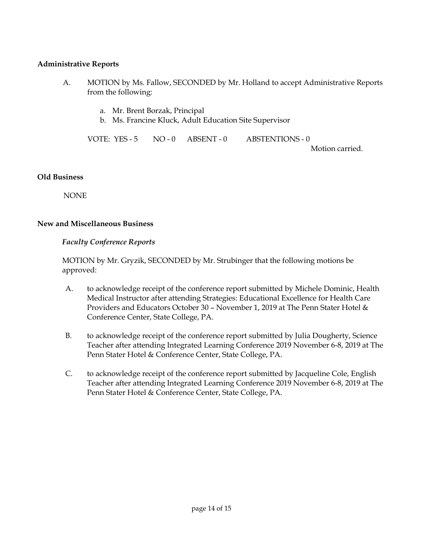#### **Administrative Reports**

- A. MOTION by Ms. Fallow, SECONDED by Mr. Holland to accept Administrative Reports from the following:
	- a. Mr. Brent Borzak, Principal
	- b. Ms. Francine Kluck, Adult Education Site Supervisor

VOTE: YES - 5 NO - 0 ABSENT - 0 ABSTENTIONS - 0 Motion carried.

#### **Old Business**

NONE

## **New and Miscellaneous Business**

## *Faculty Conference Reports*

MOTION by Mr. Gryzik, SECONDED by Mr. Strubinger that the following motions be approved:

- A. to acknowledge receipt of the conference report submitted by Michele Dominic, Health Medical Instructor after attending Strategies: Educational Excellence for Health Care Providers and Educators October 30 – November 1, 2019 at The Penn Stater Hotel & Conference Center, State College, PA.
- B. to acknowledge receipt of the conference report submitted by Julia Dougherty, Science Teacher after attending Integrated Learning Conference 2019 November 6-8, 2019 at The Penn Stater Hotel & Conference Center, State College, PA.
- C. to acknowledge receipt of the conference report submitted by Jacqueline Cole, English Teacher after attending Integrated Learning Conference 2019 November 6-8, 2019 at The Penn Stater Hotel & Conference Center, State College, PA.